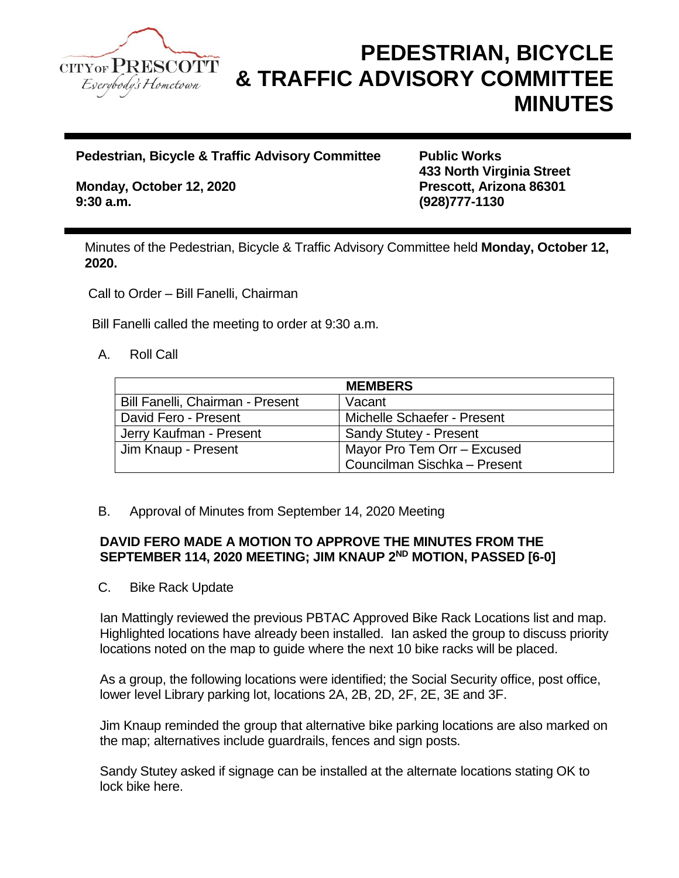

## **PEDESTRIAN, BICYCLE & TRAFFIC ADVISORY COMMITTEE MINUTES**

**Pedestrian, Bicycle & Traffic Advisory Committee Public Works** 

**Monday, October 12, 2020 Prescott, Arizona 86301 9:30 a.m. (928)777-1130**

**433 North Virginia Street**

Minutes of the Pedestrian, Bicycle & Traffic Advisory Committee held **Monday, October 12, 2020.**

Call to Order – Bill Fanelli, Chairman

Bill Fanelli called the meeting to order at 9:30 a.m.

## A. Roll Call

|                                  | <b>MEMBERS</b>                |
|----------------------------------|-------------------------------|
| Bill Fanelli, Chairman - Present | Vacant                        |
| David Fero - Present             | Michelle Schaefer - Present   |
| Jerry Kaufman - Present          | <b>Sandy Stutey - Present</b> |
| Jim Knaup - Present              | Mayor Pro Tem Orr - Excused   |
|                                  | Councilman Sischka - Present  |

B. Approval of Minutes from September 14, 2020 Meeting

## **DAVID FERO MADE A MOTION TO APPROVE THE MINUTES FROM THE SEPTEMBER 114, 2020 MEETING; JIM KNAUP 2 ND MOTION, PASSED [6-0]**

C. Bike Rack Update

Ian Mattingly reviewed the previous PBTAC Approved Bike Rack Locations list and map. Highlighted locations have already been installed. Ian asked the group to discuss priority locations noted on the map to guide where the next 10 bike racks will be placed.

As a group, the following locations were identified; the Social Security office, post office, lower level Library parking lot, locations 2A, 2B, 2D, 2F, 2E, 3E and 3F.

Jim Knaup reminded the group that alternative bike parking locations are also marked on the map; alternatives include guardrails, fences and sign posts.

Sandy Stutey asked if signage can be installed at the alternate locations stating OK to lock bike here.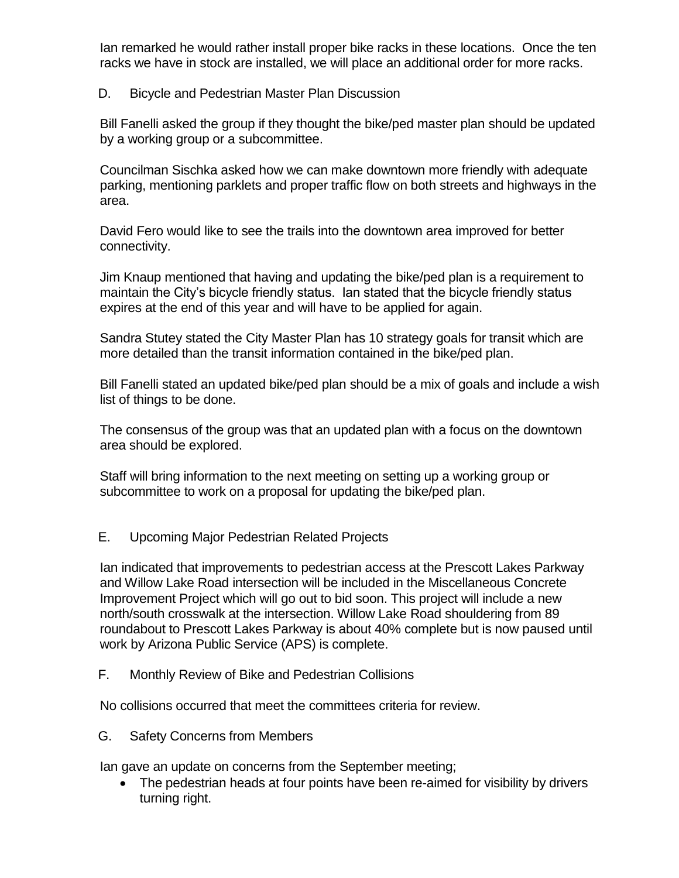Ian remarked he would rather install proper bike racks in these locations. Once the ten racks we have in stock are installed, we will place an additional order for more racks.

## D. Bicycle and Pedestrian Master Plan Discussion

Bill Fanelli asked the group if they thought the bike/ped master plan should be updated by a working group or a subcommittee.

Councilman Sischka asked how we can make downtown more friendly with adequate parking, mentioning parklets and proper traffic flow on both streets and highways in the area.

David Fero would like to see the trails into the downtown area improved for better connectivity.

Jim Knaup mentioned that having and updating the bike/ped plan is a requirement to maintain the City's bicycle friendly status. Ian stated that the bicycle friendly status expires at the end of this year and will have to be applied for again.

Sandra Stutey stated the City Master Plan has 10 strategy goals for transit which are more detailed than the transit information contained in the bike/ped plan.

Bill Fanelli stated an updated bike/ped plan should be a mix of goals and include a wish list of things to be done.

The consensus of the group was that an updated plan with a focus on the downtown area should be explored.

Staff will bring information to the next meeting on setting up a working group or subcommittee to work on a proposal for updating the bike/ped plan.

E. Upcoming Major Pedestrian Related Projects

Ian indicated that improvements to pedestrian access at the Prescott Lakes Parkway and Willow Lake Road intersection will be included in the Miscellaneous Concrete Improvement Project which will go out to bid soon. This project will include a new north/south crosswalk at the intersection. Willow Lake Road shouldering from 89 roundabout to Prescott Lakes Parkway is about 40% complete but is now paused until work by Arizona Public Service (APS) is complete.

F. Monthly Review of Bike and Pedestrian Collisions

No collisions occurred that meet the committees criteria for review.

G. Safety Concerns from Members

Ian gave an update on concerns from the September meeting;

• The pedestrian heads at four points have been re-aimed for visibility by drivers turning right.